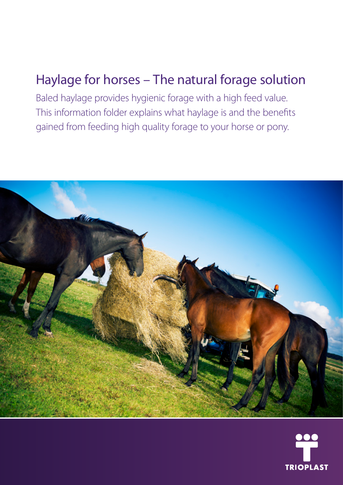## Haylage for horses – The natural forage solution

Baled haylage provides hygienic forage with a high feed value. This information folder explains what haylage is and the benefits gained from feeding high quality forage to your horse or pony.



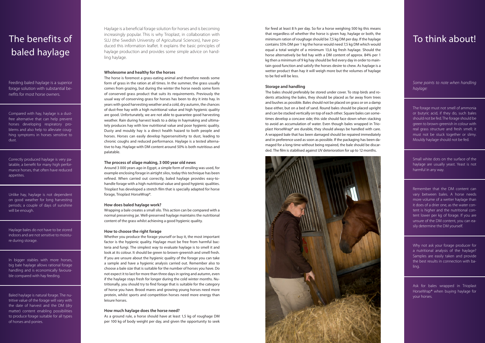Haylage is a beneficial forage solution for horses and is becoming increasingly popular. This is why Trioplast, in collaboration with SLU (the Swedish University of Agricultural Sciences), have pro duced this information leaflet. It explains the basic principles of haylage production and provides some simple advice on hand ling haylage.

#### **Wholesome and healthy for the horses**

The horse is foremost a grass-eating animal and therefore needs some form of grass in the ration at all times. In the summer, the grass usually comes from grazing, but during the winter the horse needs some form of conserved grass product that suits its requirements. Previously the usual way of conserving grass for horses has been to dry it into hay. In years with good harvesting weather and a cold, dry autumn, the chances of dust-free hay with a high nutritional value and high hygienic quality are good. Unfortunately, we are not able to guarantee good harvesting weather. Rain during harvest leads to a delay in haymaking and ultima tely produces hay with low nutritional value and poor hygienic quality. Dusty and mouldy hay is a direct health hazard to both people and horses. Horses can easily develop hypersensitivity to dust, leading to chronic coughs and reduced performance. Haylage is a tested alterna tive to hay. Haylage with DM content around 50% is both nutritious and palatable.

#### **The process of silage making, 3 000 year old news**

Around 3 000 years ago in Egypt, a simple form of ensiling was used, for example enclosing forage in airtight silos, today this technique has been refined. When carried out correctly, baled haylage provides easy-tohandle forage with a high nutritional value and good hygienic qualities. Trioplast has developed a stretch film that is specially adapted for horse forage, Trioplast HorseWrap®.

#### **How does baled haylage work?**

Wrapping a bale creates a small silo. This action can be compared with a normal preserving jar. Well-preserved haylage maintains the nutritional content of the grass whilst achieving a good hygienic quality.

#### **How to choose the right forage**

Whether you produce the forage yourself or buy it, the most important factor is the hygienic quality. Haylage must be free from harmful bac teria and fungi. The simplest way to evaluate haylage is to smell it and look at its colour. It should be green to brown-greenish and smell fresh. If you are unsure about the hygienic quality of the forage you can take a sample and have a hygienic analysis carried out. Remember also to choose a bale size that is suitable for the number of horses you have. Do not expect it to last for more than three days in spring and autumn, even if the haylage stays fresh for longer during the cold winter months. Nu tritionally, you should try to find forage that is suitable for the category of horse you have. Brood mares and growing young horses need more protein, whilst sports and competition horses need more energy than leisure horses.

#### **How much haylage does the horse need?**

As a ground rule, a horse should have at least 1,5 kg of roughage DM per 100 kg of body weight per day, and given the opportunity to seek

# The benefits of baled haylage

Feeding baled haylage is a superior forage solution with substantial be nefits for most horse owners.

Compared with hay, haylage is a dustfree alternative that can help prevent horses developing respiratory pro blems and also help to alleviate coug hing symptoms in horses sensitive to dust.

Correctly produced haylage is very pa latable, a benefit for many high perfor mance horses, that often have reduced appetites.

Unlike hay, haylage is not dependent on good weather for long harvesting periods; a couple of days of sunshine will be enough.

Haylage bales do not have to be stored indoors and are not sensitive to moistu re during storage.

In bigger stables with more horses, big bale haylage allows rational forage handling and is economically favoura ble compared with hay feeding.

Baled haylage is natural forage. The nu tritive value of the forage will vary with the date of harvest and the DM (dry matter) content enabling possibilities to produce forage suitable for all types of horses and ponies.

### To think about!

*Some points to note when handling haylage:*

The forage must not smell of ammonia or butyric acid, if they do, such bales should not be fed. The forage should be green to brown-greenish in colour with real grass structure and fresh smell; it must not be stuck together or slimy. Mouldy haylage should not be fed.

Small white dots on the surface of the haylage are usually yeast. Yeast is not harmful in any way.

Remember that the DM content can vary between bales. A horse needs more volume of a wetter haylage than it does of a drier one, as the water con tent is higher and the nutritional con tent lower per kg of forage. If you are unsure of the DM content, you can ea sily determine the DM yourself.

Why not ask your forage producer for a nutritional analysis of the haylage? Samples are easily taken and provide the best results in connection with ba ling.

Ask for bales wrapped in Trioplast HorseWrap® when buying haylage for your horses.

for feed at least 8 h per day. So for a horse weighing 500 kg this means that regardless of whether the horse is given hay, haylage or both, the minimum ration of roughage should be 7,5 kg DM per day. If the haylage contains 55% DM per 1 kg the horse would need 7,5 kg DM which would equal a total weight of a minimum 13,6 kg fresh haylage. Should the horse alternatively be fed hay with a DM content of approx. 84% per 1 kg then a minimum of 9 kg hay should be fed every day in order to main tain good function and satisfy the horses desire to chew. As haylage is a wetter product than hay it will weigh more but the volumes of haylage to be fed will be less.

#### **Storage and handling**

The bales should preferably be stored under cover. To stop birds and ro dents attacking the bales, they should be placed as far away from trees and bushes as possible. Bales should not be placed on grass or on a damp base either, but on a bed of sand. Round bales should be placed upright and can be stacked vertically on top of each other. Square bales can some times develop a concave side; this side should face down when stacking to avoid an accumulation of water. Even though bales wrapped in Trio plast HorseWrap® are durable, they should always be handled with care. A wrapped bale that has been damaged should be repaired immediately and in preference used as soon as possible. If the packaging has been da maged for a long time without being repaired, the bale should be discar ded. The film is stabilised against UV deterioration for up to 12 months.